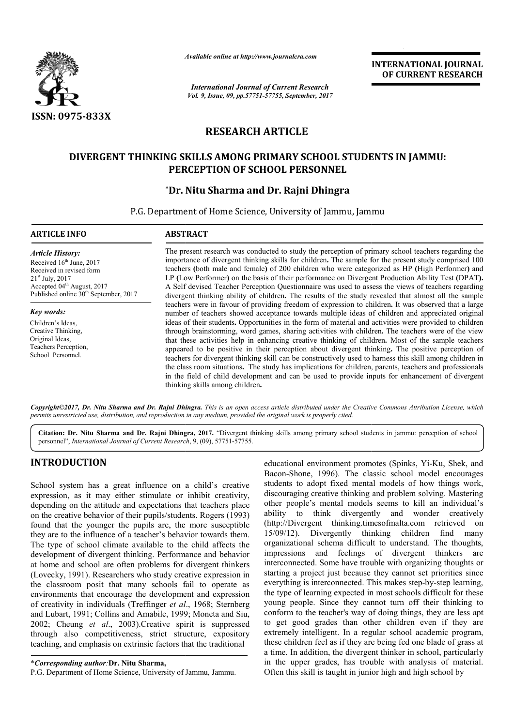

*Available online at http://www.journal http://www.journalcra.com*

*International Journal of Current Research Vol. 9, Issue, 09, pp.57751-57755, September, 2017* **INTERNATIONAL JOURNAL OF CURRENT RESEARCH** 

# **RESEARCH ARTICLE**

## **DIVERGENT THINKING SKILLS AMONG PRIMARY SCHOOL STUDENTS IN JAMMU: PERCEPTION OF SCHOOL PERSONNEL**

## **\*Dr. Nitu Sharma and Dr. Rajni Dhingra Dr.**

P.G. Department of Home Science, University of Jammu, Jammu

### The present research was conducted to study the perception of primary school teachers regarding the *Article History:* Received 16<sup>th</sup> June, 2017 Received in revised form 21st July, 2017 Accepted 04<sup>th</sup> August, 2017 Published online 30<sup>th</sup> September, 2017 *Key words:* Children's Ideas, Creative Thinking,

**ARTICLE INFO ABSTRACT**

Original Ideas, Teachers Perception, School Personnel.

The present research was conducted to study the perception of primary school teachers regarding the importance of divergent thinking skills for children. The sample for the present study comprised 100 teachers (both male and female) of 200 children who were categorized as HP (High Performer) and LP (Low Performer) on the basis of their performance on Divergent Production Ability Test (DPAT). A Self devised Teacher Perception Questionnaire was used to assess the views of teachers regarding divergent thinking ability of children **.** The results of the study revealed that almost all the sample teachers were in favour of providing freedom of expression to children number of teachers showed acceptance towards multiple ideas of children and appreciated original ideas of their students **.** Opportunities in the form of material and activities were provided to children through brainstorming, word games, sharing activities with children that these activities help in enhancing creative thinking of children. Most of the sample teachers appeared to be positive in their perception about divergent thinking. The positive perception of teachers for divergent thinking skill can be constructively used to harness this skill among children in the class room situations **.** The study has implications for children, parents, teachers and professionals teachers for divergent thinking skill can be constructively used to harness this skill among children in the class room situations. The study has implications for children, parents, teachers and professionals in the field thinking skills among children **.** A Self devised Teacher Perception Questionnaire was used to assess the views of teachers regarding divergent thinking ability of children. The results of the study revealed that almost all the sample teachers were in favou number of teachers showed acceptance towards multiple ideas of children and appreciated original<br>ideas of their students. Opportunities in the form of material and activities were provided to children<br>through brainstorming

Copyright©2017, Dr. Nitu Sharma and Dr. Rajni Dhingra. This is an open access article distributed under the Creative Commons Attribution License, which *permits unrestricted use, distribution, and reproduction in any medium, provided the original work is properly cited.*

Citation: Dr. Nitu Sharma and Dr. Rajni Dhingra, 2017. "Divergent thinking skills among primary school students in jammu: perception of school personnel", *International Journal of Current Research* , 9, (09), 57751-57755.

## **INTRODUCTION**

School system has a great influence on a child's creative expression, as it may either stimulate or inhibit creativity, depending on the attitude and expectations that teachers place on the creative behavior of their pupils/students. Rogers (1993) found that the younger the pupils are, the more susceptible they are to the influence of a teacher's behavior towards them. The type of school climate available to the child affects the development of divergent thinking. Performance and behavior at home and school are often problems for divergent thinkers (Lovecky, 1991). Researchers who study creative expression in the classroom posit that many schools fail to operate as environments that encourage the development and expression the classroom posit that many schools fail to operate as<br>environments that encourage the development and expression<br>of creativity in individuals (Treffinger *et al.*, 1968; Sternberg and Lubart, 1991; Collins and Amabile, 1999; Moneta and Siu, 2002; Cheung *et al*., 2003).Creative spirit is suppressed through also competitiveness, strict structure, expository teaching, and emphasis on extrinsic factors that the traditional Creative spirit is suppresently strict structure, expositions is a structure of the traditions of the traditions of Jammu. Jammu.

P.G. Department of Home Science, University of Jammu, Jammu

educational environment promotes (Spinks, Yi-Ku, Shek, and Bacon-Shone, 1996). The classic school model encourages students to adopt fixed mental models of how things work, discouraging creative thinking and problem solving. Mastering other people's mental models seems to kill an individual's ability to think divergently and wonder creatively ability to think divergently and wonder creatively<br>(http://Divergent thinking.timesofmalta.com retrieved on 15/09/12). Divergently thinking children find many organizational schema difficult to understand. The thoughts, impressions and feelings of divergent thinkers are interconnected. Some have trouble with organizing thoughts or starting a project just because they cannot set priorities since everything is interconnected. This makes step-by-step learning, the type of learning expected in most schools difficult for these young people. Since they cannot turn off their thinking to conform to the teacher's way of doing things, they are less apt to get good grades than other children even if they are extremely intelligent. In a regular school academic program, these children feel as if they are being fed one blade of grass at a time. In addition, the divergent thinker in school, particularly in the upper grades, has trouble with analysis of material Often this skill is taught in junior high and high school by The classic school model encourages<br>d mental models of how things work,<br>hinking and problem solving. Mastering interconnected. Some have trouble with organizing thoughts or starting a project just because they cannot set priorities since everything is interconnected. This makes step-by-step learning, people. Since they cannot turn off their thinking to rm to the teacher's way of doing things, they are less apt t good grades than other children even if they are mely intelligent. In a regular school academic program, chi **NATIONAL JOURNAL**<br>
CURRENT RESEARCH<br>
CURRENT RESEARCH<br>
CURRENT RESEARCH<br>
FIGHE Performer) and<br>
FIGHE Performer) and<br>
FIGHE Performer) and<br>
the sobserved that a large<br>
are provided to children<br>
the sobserved that a large<br>

<sup>\*</sup>*Corresponding author:***Dr. Nitu Sharma,**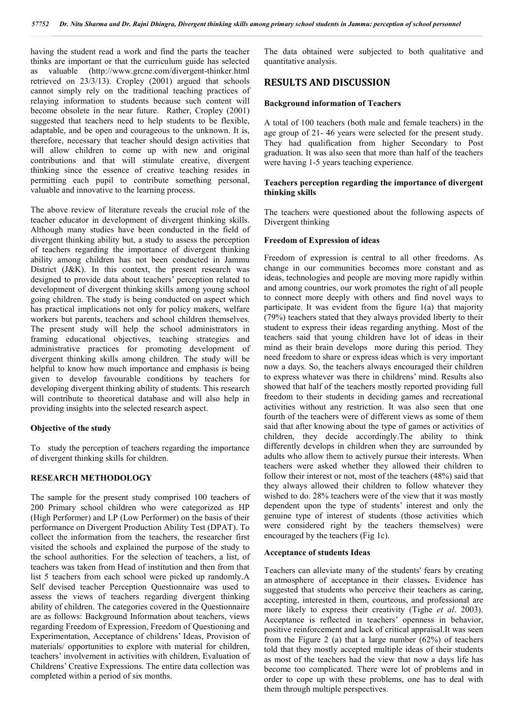having the student read a work and find the parts the teacher thinks are important or that the curriculum guide has selected as valuable (http://www.grcne.com/divergent-thinker.html retrieved on 23/3/13). Cropley (2001) argued that schools cannot simply rely on the traditional teaching practices of relaying information to students because such content will become obsolete in the near future. Rather, Cropley (2001) suggested that teachers need to help students to be flexible, adaptable, and be open and courageous to the unknown. It is, therefore, necessary that teacher should design activities that will allow children to come up with new and original contributions and that will stimulate creative, divergent thinking since the essence of creative teaching resides in permitting each pupil to contribute something personal, valuable and innovative to the learning process.

The above review of literature reveals the crucial role of the teacher educator in development of divergent thinking skills. Although many studies have been conducted in the field of divergent thinking ability but, a study to assess the perception of teachers regarding the importance of divergent thinking ability among children has not been conducted in Jammu District (J&K). In this context, the present research was designed to provide data about teachers' perception related to development of divergent thinking skills among young school going children. The study is being conducted on aspect which has practical implications not only for policy makers, welfare workers but parents, teachers and school children themselves. The present study will help the school administrators in framing educational objectives, teaching strategies and administrative practices for promoting development of divergent thinking skills among children. The study will be helpful to know how much importance and emphasis is being given to develop favourable conditions by teachers for developing divergent thinking ability of students. This research will contribute to theoretical database and will also help in providing insights into the selected research aspect.

#### **Objective of the study**

To study the perception of teachers regarding the importance of divergent thinking skills for children.

#### **RESEARCH METHODOLOGY**

The sample for the present study comprised 100 teachers of 200 Primary school children who were categorized as HP (High Performer) and LP (Low Performer) on the basis of their performance on Divergent Production Ability Test (DPAT). To collect the information from the teachers, the researcher first visited the schools and explained the purpose of the study to the school authorities. For the selection of teachers, a list, of teachers was taken from Head of institution and then from that list 5 teachers from each school were picked up randomly.A Self devised teacher Perception Questionnaire was used to assess the views of teachers regarding divergent thinking ability of children. The categories covered in the Questionnaire are as follows: Background Information about teachers, views regarding Freedom of Expression, Freedom of Questioning and Experimentation, Acceptance of childrens' Ideas, Provision of materials/ opportunities to explore with material for children, teachers' involvement in activities with children, Evaluation of Childrens' Creative Expressions. The entire data collection was completed within a period of six months.

The data obtained were subjected to both qualitative and quantitative analysis.

### **RESULTS AND DISCUSSION**

#### **Background information of Teachers**

A total of 100 teachers (both male and female teachers) in the age group of 21- 46 years were selected for the present study. They had qualification from higher Secondary to Post graduation. It was also seen that more than half of the teachers were having 1-5 years teaching experience.

#### **Teachers perception regarding the importance of divergent thinking skills**

The teachers were questioned about the following aspects of Divergent thinking

#### **Freedom of Expression of ideas**

Freedom of expression is central to all other freedoms. As change in our communities becomes more constant and as ideas, technologies and people are moving more rapidly within and among countries, our work promotes the right of all people to connect more deeply with others and find novel ways to participate. It was evident from the figure 1(a) that majority (79%) teachers stated that they always provided liberty to their student to express their ideas regarding anything. Most of the teachers said that young children have lot of ideas in their mind as their brain develops more during this period. They need freedom to share or express ideas which is very important now a days. So, the teachers always encouraged their children to express whatever was there in childrens' mind. Results also showed that half of the teachers mostly reported providing full freedom to their students in deciding games and recreational activities without any restriction. It was also seen that one fourth of the teachers were of different views as some of them said that after knowing about the type of games or activities of children, they decide accordingly.The ability to think differently develops in children when they are surrounded by adults who allow them to actively pursue their interests. When teachers were asked whether they allowed their children to follow their interest or not, most of the teachers (48%) said that they always allowed their children to follow whatever they wished to do. 28% teachers were of the view that it was mostly dependent upon the type of students' interest and only the genuine type of interest of students (those activities which were considered right by the teachers themselves) were encouraged by the teachers (Fig 1c).

#### **Acceptance of students Ideas**

Teachers can alleviate many of the students' fears by creating an atmosphere of acceptance in their classes**.** Evidence has suggested that students who perceive their teachers as caring, accepting, interested in them, courteous, and professional are more likely to express their creativity (Tighe *et al*. 2003). Acceptance is reflected in teachers' openness in behavior, positive reinforcement and lack of critical appraisal.It was seen from the Figure 2 (a) that a large number (62%) of teachers told that they mostly accepted multiple ideas of their students as most of the teachers had the view that now a days life has become too complicated. There were lot of problems and in order to cope up with these problems, one has to deal with them through multiple perspectives.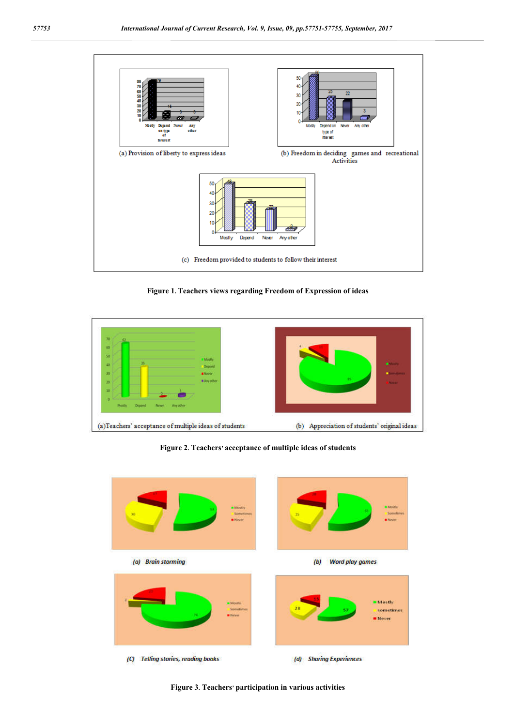

**Figure 1. Teachers views regarding Freedom of Expression of ideas**



**Figure 2. Teachers' acceptance of multiple ideas of students**



**Figure 3. Teachers' participation in various activities**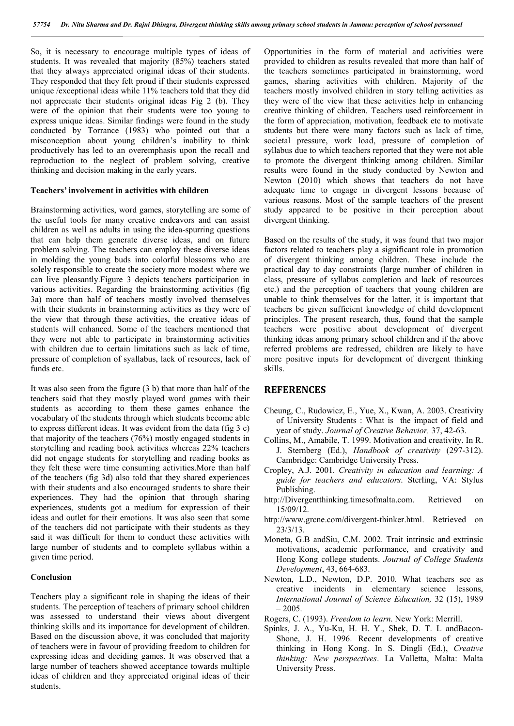So, it is necessary to encourage multiple types of ideas of students. It was revealed that majority (85%) teachers stated that they always appreciated original ideas of their students. They responded that they felt proud if their students expressed unique /exceptional ideas while 11% teachers told that they did not appreciate their students original ideas Fig 2 (b). They were of the opinion that their students were too young to express unique ideas. Similar findings were found in the study conducted by Torrance (1983) who pointed out that a misconception about young children's inability to think productively has led to an overemphasis upon the recall and reproduction to the neglect of problem solving, creative thinking and decision making in the early years.

#### **Teachers' involvement in activities with children**

Brainstorming activities, word games, storytelling are some of the useful tools for many creative endeavors and can assist children as well as adults in using the idea-spurring questions that can help them generate diverse ideas, and on future problem solving. The teachers can employ these diverse ideas in molding the young buds into colorful blossoms who are solely responsible to create the society more modest where we can live pleasantly.Figure 3 depicts teachers participation in various activities. Regarding the brainstorming activities (fig 3a) more than half of teachers mostly involved themselves with their students in brainstorming activities as they were of the view that through these activities, the creative ideas of students will enhanced. Some of the teachers mentioned that they were not able to participate in brainstorming activities with children due to certain limitations such as lack of time, pressure of completion of syallabus, lack of resources, lack of funds etc.

It was also seen from the figure (3 b) that more than half of the teachers said that they mostly played word games with their students as according to them these games enhance the vocabulary of the students through which students become able to express different ideas. It was evident from the data (fig 3 c) that majority of the teachers (76%) mostly engaged students in storytelling and reading book activities whereas 22% teachers did not engage students for storytelling and reading books as they felt these were time consuming activities.More than half of the teachers (fig 3d) also told that they shared experiences with their students and also encouraged students to share their experiences. They had the opinion that through sharing experiences, students got a medium for expression of their ideas and outlet for their emotions. It was also seen that some of the teachers did not participate with their students as they said it was difficult for them to conduct these activities with large number of students and to complete syllabus within a given time period.

#### **Conclusion**

Teachers play a significant role in shaping the ideas of their students. The perception of teachers of primary school children was assessed to understand their views about divergent thinking skills and its importance for development of children. Based on the discussion above, it was concluded that majority of teachers were in favour of providing freedom to children for expressing ideas and deciding games. It was observed that a large number of teachers showed acceptance towards multiple ideas of children and they appreciated original ideas of their students.

Opportunities in the form of material and activities were provided to children as results revealed that more than half of the teachers sometimes participated in brainstorming, word games, sharing activities with children. Majority of the teachers mostly involved children in story telling activities as they were of the view that these activities help in enhancing creative thinking of children. Teachers used reinforcement in the form of appreciation, motivation, feedback etc to motivate students but there were many factors such as lack of time, societal pressure, work load, pressure of completion of syllabus due to which teachers reported that they were not able to promote the divergent thinking among children. Similar results were found in the study conducted by Newton and Newton (2010) which shows that teachers do not have adequate time to engage in divergent lessons because of various reasons. Most of the sample teachers of the present study appeared to be positive in their perception about divergent thinking.

Based on the results of the study, it was found that two major factors related to teachers play a significant role in promotion of divergent thinking among children. These include the practical day to day constraints (large number of children in class, pressure of syllabus completion and lack of resources etc.) and the perception of teachers that young children are unable to think themselves for the latter, it is important that teachers be given sufficient knowledge of child development principles. The present research, thus, found that the sample teachers were positive about development of divergent thinking ideas among primary school children and if the above referred problems are redressed, children are likely to have more positive inputs for development of divergent thinking skills.

### **REFERENCES**

- Cheung, C., Rudowicz, E., Yue, X., Kwan, A. 2003. Creativity of University Students : What is the impact of field and year of study. *Journal of Creative Behavior,* 37, 42-63.
- Collins, M., Amabile, T. 1999. Motivation and creativity. In R. J. Sternberg (Ed.), *Handbook of creativity* (297-312). Cambridge: Cambridge University Press.
- Cropley, A.J. 2001. *Creativity in education and learning: A guide for teachers and educators*. Sterling, VA: Stylus Publishing.
- http://Divergentthinking.timesofmalta.com. Retrieved on 15/09/12.
- http://www.grcne.com/divergent-thinker.html. Retrieved on 23/3/13.
- Moneta, G.B andSiu, C.M. 2002. Trait intrinsic and extrinsic motivations, academic performance, and creativity and Hong Kong college students. *Journal of College Students Development*, 43, 664-683.
- Newton, L.D., Newton, D.P. 2010. What teachers see as creative incidents in elementary science lessons, *International Journal of Science Education,* 32 (15), 1989  $-2005.$
- Rogers, C. (1993). *Freedom to learn*. New York: Merrill.
- Spinks, J. A., Yu-Ku, H. H. Y., Shek, D. T. L andBacon-Shone, J. H. 1996. Recent developments of creative thinking in Hong Kong. In S. Dingli (Ed.), *Creative thinking: New perspectives*. La Valletta, Malta: Malta University Press.